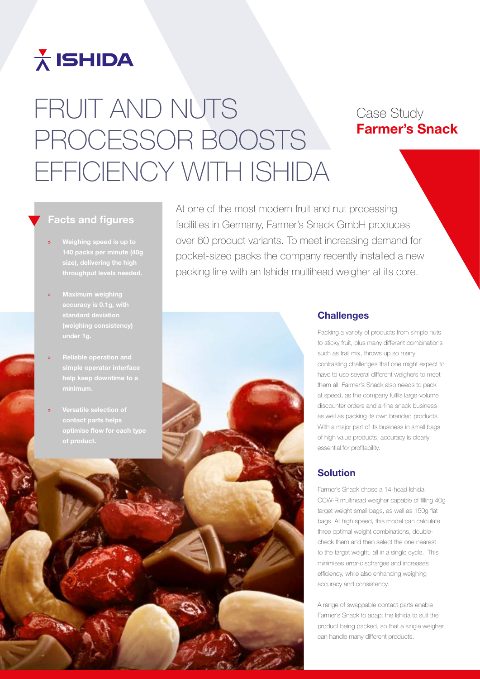## $\frac{1}{\Lambda}$  ISHIDA

# FRUIT AND NUTS PROCESSOR BOOSTS EFFICIENCY WITH ISHIDA

### Case Study Farmer's Snack

#### Facts and figures

- » Weighing speed is up to 140 packs per minute (40g throughput levels needed.
- standard deviation
- help keep downtime to a
- » Versatile selection of contact parts helps of product.

At one of the most modern fruit and nut processing facilities in Germany, Farmer's Snack GmbH produces over 60 product variants. To meet increasing demand for pocket-sized packs the company recently installed a new packing line with an Ishida multihead weigher at its core.



#### **Challenges**

Packing a variety of products from simple nuts to sticky fruit, plus many different combinations such as trail mix, throws up so many contrasting challenges that one might expect to have to use several different weighers to meet them all. Farmer's Snack also needs to pack at speed, as the company fulfils large-volume discounter orders and airline snack business as well as packing its own branded products. With a major part of its business in small bags of high value products, accuracy is clearly essential for profitability.

#### Solution

Farmer's Snack chose a 14-head Ishida CCW-R multihead weigher capable of filling 40g target weight small bags, as well as 150g flat bags. At high speed, this model can calculate three optimal weight combinations, doublecheck them and then select the one nearest to the target weight, all in a single cycle. This minimises error-discharges and increases efficiency, while also enhancing weighing accuracy and consistency.

A range of swappable contact parts enable Farmer's Snack to adapt the Ishida to suit the product being packed, so that a single weigher can handle many different products.